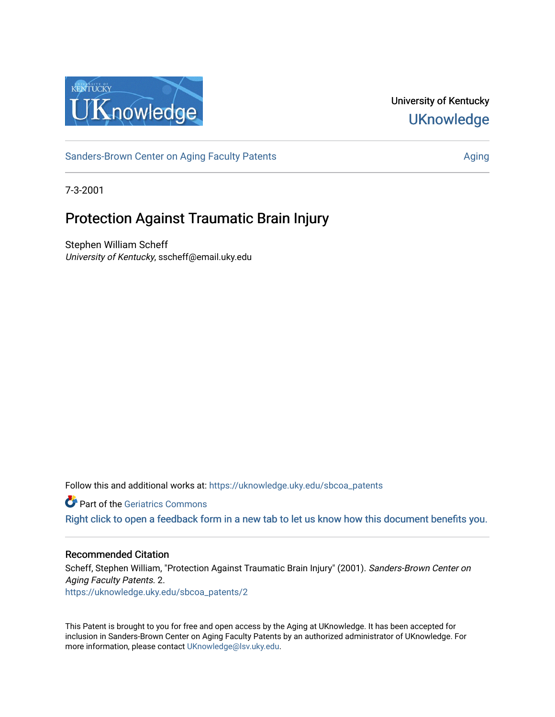

University of Kentucky **UKnowledge** 

[Sanders-Brown Center on Aging Faculty Patents](https://uknowledge.uky.edu/sbcoa_patents) [Aging](https://uknowledge.uky.edu/sbcoa) Aging Aging Aging

7-3-2001

# Protection Against Traumatic Brain Injury

Stephen William Scheff University of Kentucky, sscheff@email.uky.edu

Follow this and additional works at: [https://uknowledge.uky.edu/sbcoa\\_patents](https://uknowledge.uky.edu/sbcoa_patents?utm_source=uknowledge.uky.edu%2Fsbcoa_patents%2F2&utm_medium=PDF&utm_campaign=PDFCoverPages) 

**C** Part of the Geriatrics Commons

[Right click to open a feedback form in a new tab to let us know how this document benefits you.](https://uky.az1.qualtrics.com/jfe/form/SV_9mq8fx2GnONRfz7)

## Recommended Citation

Scheff, Stephen William, "Protection Against Traumatic Brain Injury" (2001). Sanders-Brown Center on Aging Faculty Patents. 2. [https://uknowledge.uky.edu/sbcoa\\_patents/2](https://uknowledge.uky.edu/sbcoa_patents/2?utm_source=uknowledge.uky.edu%2Fsbcoa_patents%2F2&utm_medium=PDF&utm_campaign=PDFCoverPages) 

This Patent is brought to you for free and open access by the Aging at UKnowledge. It has been accepted for inclusion in Sanders-Brown Center on Aging Faculty Patents by an authorized administrator of UKnowledge. For more information, please contact [UKnowledge@lsv.uky.edu](mailto:UKnowledge@lsv.uky.edu).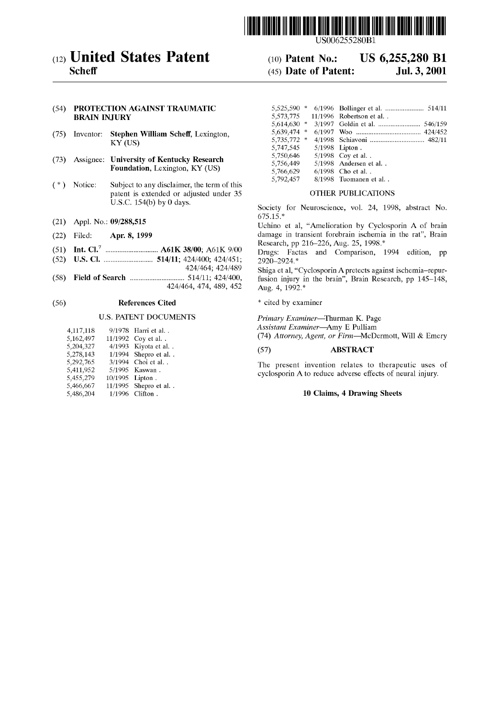

#### (54) PROTECTION AGAINST TRAUMATIC **BRAIN INJURY**

- (75) Inventor: **Stephen William Scheff**, Lexington, **KY (US)**
- Foundation, Lexington, KY (US)
- (\*) Notice: Subject to any disclaimer, the term of this  $5,792,457$  8/1998 Tuomanen et al. patent is extended or adjusted under 35 OTHER PUBLICATIONS<br>U.S.C. 154(b) by 0 days.
- 
- 
- **1.1. Int.** Cl.<sup>7</sup> **Example 2.5 1998**. **Int.** Cl.<sup>7</sup> **Example 2.6 At Eq. 7 Example 2.6 Example 2.6 Example 2.6 Example 2.6 Example 2.6 Example 2.6 Example 2.6 Example 2.6 Example 2.6 Example 2.6**
- (52) US. Cl. .......................... .. 514/11; 424/400; 424/451; 2920\_2924\_\*
- 
- $(58)$

### (56) **References Cited** \* cited by examiner

| 4,117,118 |         | 9/1978 Harri et al. .   |
|-----------|---------|-------------------------|
| 5,162,497 | 11/1992 | Coy et al. .            |
| 5,204,327 |         | 4/1993 Kiyota et al. .  |
| 5,278,143 |         | 1/1994 Shepro et al. .  |
| 5,292,765 | 3/1994  | Choi et al              |
| 5,411,952 | 5/1995  | Kaswan.                 |
| 5,455,279 | 10/1995 | Lipton.                 |
| 5,466,667 |         | 11/1995 Shepro et al. . |
| 5,486,204 | 1/1996  | Clifton.                |

US006255280B1

## (12) United States Patent (10) Patent No.: US 6,255,280 B1<br>Scheff (45) Date of Patent: Jul. 3, 2001  $(45)$  Date of Patent:

|                   |                                                  | (54) PROTECTION AGAINST TRAUMATIC         |                         |                           |
|-------------------|--------------------------------------------------|-------------------------------------------|-------------------------|---------------------------|
|                   | <b>BRAIN INJURY</b>                              |                                           | 5.573.775               | $11/1996$ Robertson et al |
|                   |                                                  |                                           | $5.614.630$ *           |                           |
| (75)<br>Inventor: |                                                  | <b>Stephen William Scheff, Lexington,</b> | 5,639,474 *             |                           |
|                   |                                                  | $KY$ (US)                                 | 5,735,772 *             |                           |
|                   |                                                  | 5,747,545                                 | $5/1998$ Lipton.        |                           |
| (73)              |                                                  | 5.750.646                                 | $5/1998$ Coy et al      |                           |
|                   | <b>Assignee: University of Kentucky Research</b> | 5,756,449                                 | $5/1998$ Andersen et al |                           |
|                   | <b>Foundation, Lexington, KY (US)</b>            | 5,766,629                                 | $6/1998$ Cho et al      |                           |
|                   |                                                  |                                           | 5,792,457               | 8/1998 Tuomanen et al     |

Society for Neuroscience, vol. 24, 1998, abstract No. 675.15.\*

(21) Appl. No.:  $09/288,515$  Uchino et al, "Amelioration by Cyclosporin A of brain (22) Filed; Apr, 8, 1999 damage in transient forebrain ischemia in the rat", Brain

(51) Int. Cl. ............................ .. A61K 38/00; A61K 9/00 Drugs: Factas and Comparison, 1994 edition, pp

\_ 424/464; 424/489 Shiga et al, "Cyclosporin Apretects against ischemia—repur Fleld of Search ............................. 424/464, .. 474, 489, 452 Aug fusion 4, injury 1992\* in the brain", Brain Research,

U.S. PATENT DOCUMENTS Primary Examiner—Thurman K. Page

Assistant Examiner—Amy E Pulliam

(74) Attorney, Agent, or Firm-McDermott, Will & Emery

#### 5,204,327 4/1993 Kiyota et a1. . (57) ABSTRACT

The present invention relates to therapeutic uses of cyclosporin A to reduce adverse effects of neural injury.

#### 10 Claims, 4 Drawing Sheets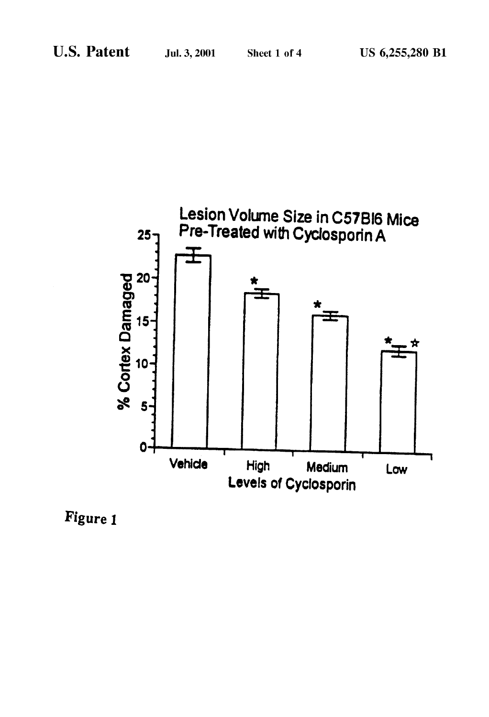

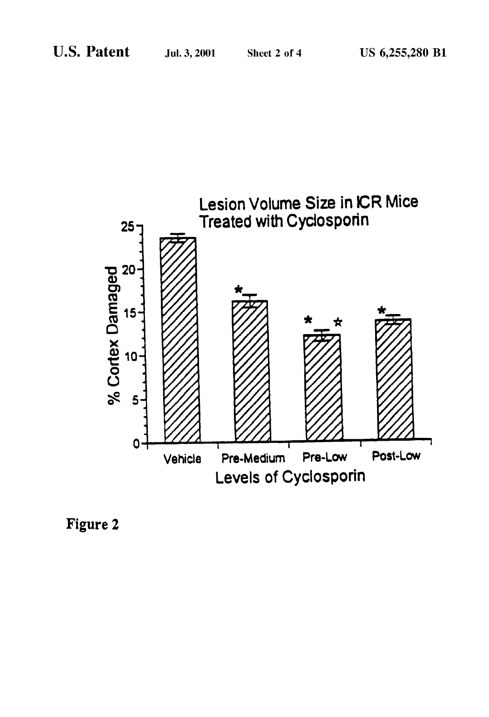

Figure 2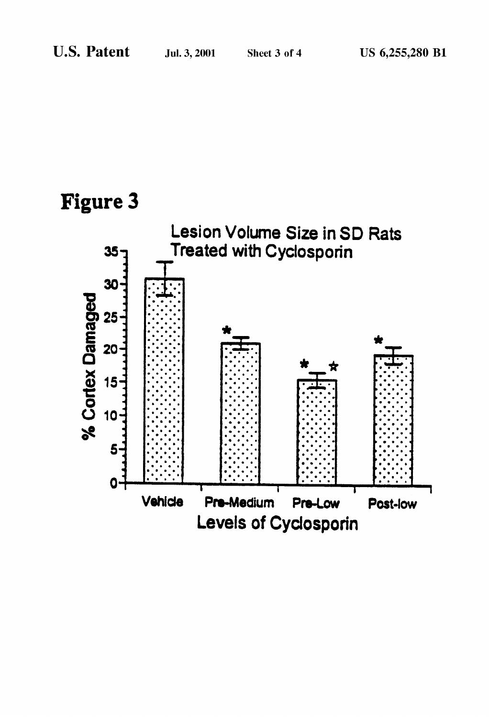# **Figure 3**

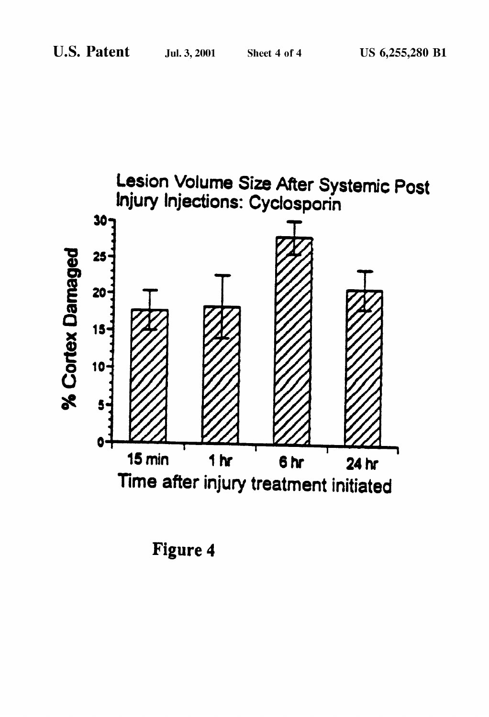

**Figure 4**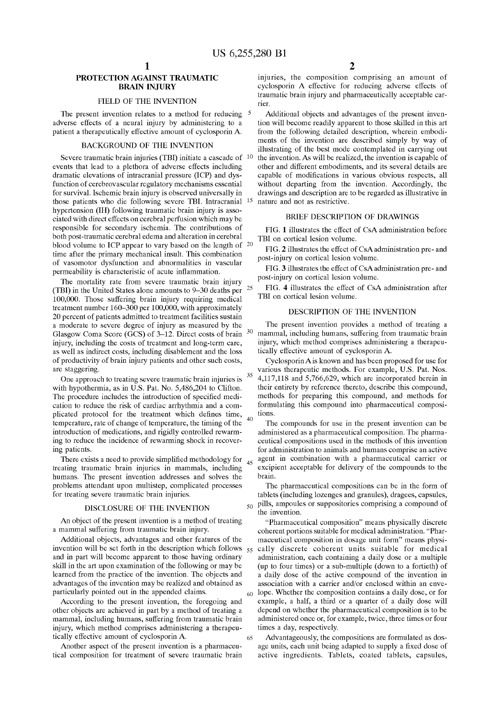30

40

 $45$ 

60

65

#### PROTECTION AGAINST TRAUMATIC BRAIN INJURY

#### FIELD OF THE INVENTION

The present invention relates to a method for reducing  $5$ adverse effects of a neural injury by administering to a patient a therapeutically effective amount of cyclosporin A.

#### BACKGROUND OF THE INVENTION

Severe traumatic brain injuries (TBI) initiate a cascade of <sup>10</sup> events that lead to a plethora of adverse effects including dramatic elevations of intracranial pressure (ICP) and dys function of cerebrovascular regulatory mechanisms essential for survival. Ischemic brain injury is observed universally in those patients Who die folloWing severe TBI. Intracranial 15 hypertension (IH) following traumatic brain injury is associated With direct effects on cerebral perfusion Which may be responsible for secondary ischemia. The contributions of both post-traumatic cerebral edema and alteration in cerebral blood volume to ICP appear to vary based on the length of 20 time after the primary mechanical insult. This combination of vasomotor dysfunction and abnormalities in vascular permeability is characteristic of acute inflammation.

The mortality rate from severe traumatic brain injury (TBI) in the United States alone amounts to 9—30 deaths per 100,000. Those suffering brain injury requiring medical treatment number 160—300 per 100,000, With approximately 20 percent of patients admitted to treatment facilities sustain a moderate to severe degree of injury as measured by the GlasgoW Coma Score (GCS) of 3—12. Direct costs of brain injury, including the costs of treatment and long-term care, as Well as indirect costs, including disablement and the loss of productivity of brain injury patients and other such costs, are staggering. 25

One approach to treating severe traumatic brain injuries is with hypothermia, as in U.S. Pat. No. 5,486,204 to Clifton. The procedure includes the introduction of specified medication to reduce the risk of cardiac arrhythmia and a com plicated protocol for the treatment which defines time, temperature, rate of change of temperature, the timing of the introduction of medications, and rigidly controlled rewarming to reduce the incidence of reWarming shock in recover ing patients.

There exists a need to provide simplified methodology for treating traumatic brain injuries in mammals, including humans. The present invention addresses and solves the problems attendant upon multistep, complicated processes for treating severe traumatic brain injuries.

#### DISCLOSURE OF THE INVENTION

An object of the present invention is a method of treating a mammal suffering from traumatic brain injury.

Additional objects, advantages and other features of the and in part Will become apparent to those having ordinary skill in the art upon examination of the following or may be learned from the practice of the invention. The objects and advantages of the invention may be realized and obtained as particularly pointed out in the appended claims.

According to the present invention, the foregoing and other objects are achieved in part by a method of treating a mammal, including humans, suffering from traumatic brain injury, Which method comprises administering a therapeu tically effective amount of cyclosporin A.

Another aspect of the present invention is a pharmaceu tical composition for treatment of severe traumatic brain injuries, the composition comprising an amount of cyclosporin A effective for reducing adverse effects of traumatic brain injury and pharmaceutically acceptable car rier.

Additional objects and advantages of the present inven tion Will become readily apparent to those skilled in this art from the following detailed description, wherein embodiments of the invention are described simply by Way of illustrating of the best mode contemplated in carrying out the invention. As will be realized, the invention is capable of other and different embodiments, and its several details are capable of modifications in various obvious respects, all without departing from the invention. Accordingly, the draWings and description are to be regarded as illustrative in nature and not as restrictive.

#### BRIEF DESCRIPTION OF DRAWINGS

FIG. 1 illustrates the effect of CsA administration before TBI on cortical lesion volume.

FIG. 2 illustrates the effect of CsA administration pre- and post-injury on cortical lesion volume.

FIG. 3 illustrates the effect of CsA administration pre- and post-injury on cortical lesion volume.

FIG. 4 illustrates the effect of CsA administration after TBI on cortical lesion volume.

#### DESCRIPTION OF THE INVENTION

The present invention provides a method of treating a mammal, including humans, suffering from traumatic brain injury, Which method comprises administering a therapeu tically effective amount of cyclosporin A.

35 CyclosporinAis knoWn and has been proposed for use for various therapeutic methods. For example, US. Pat. Nos. 4,117,118 and 5,766,629, Which are incorporated herein in their entirety by reference thereto, describe this compound, methods for preparing this compound, and methods for formulating this compound into pharmaceutical composi tions.

The compounds for use in the present invention can be administered as a pharmaceutical composition. The pharma ceutical compositions used in the methods of this invention for administration to animals and humans comprise an active agent in combination With a pharmaceutical carrier or excipient acceptable for delivery of the compounds to the brain.

 $_{50}$  pills, ampoules or suppositories comprising a compound of The pharmaceutical compositions can be in the form of tablets (including loZenges and granules), dragees, capsules, the invention.

invention will be set forth in the description which follows  $55$  cally discrete coherent units suitable for medical "Pharmaceutical composition" means physically discrete coherent portions suitable for medical administration. "Phar maceutical composition in dosage unit form" means physi administration, each containing a daily dose or a multiple (up to four times) or a sub-multiple (doWn to a fortieth) of a daily dose of the active compound of the invention in association With a carrier and/or enclosed Within an enve lope. Whether the composition contains a daily dose, or for eXample, a half, a third or a quarter of a daily dose Will depend on Whether the pharmaceutical composition is to be administered once or, for eXample, tWice, three times or four times a day, respectively.

> Advantageously, the compositions are formulated as dos age units, each unit being adapted to supply a fixed dose of active ingredients. Tablets, coated tablets, capsules,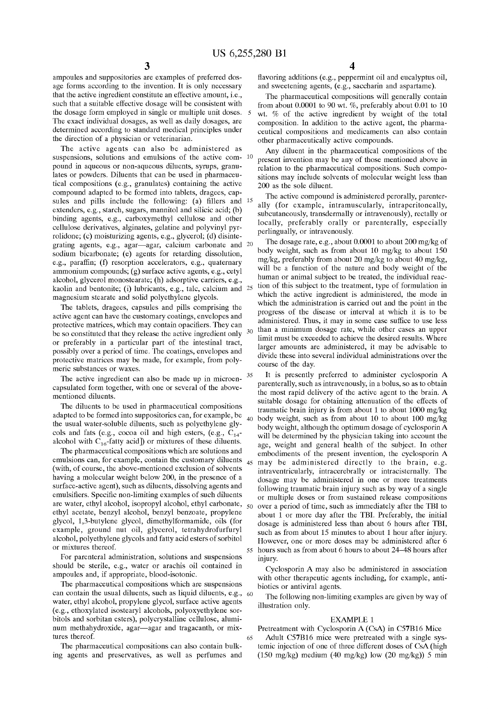30

60

65

ampoules and suppositories are examples of preferred dos age forms according to the invention. It is only necessary that the active ingredient constitute an effective amount, i.e., such that a suitable effective dosage Will be consistent With the dosage form employed in single or multiple unit doses. The exact individual dosages, as Well as daily dosages, are determined according to standard medical principles under the direction of a physician or veterinarian.

The active agents can also be administered as suspensions, solutions and emulsions of the active com- 10 pound in aqueous or non-aqueous diluents, syrups, granu lates or poWders. Diluents that can be used in pharmaceu tical compositions (e.g., granulates) containing the active compound adapted to be formed into tablets, dragees, cap sules and pills include the following:  $\alpha$  as fillers and  $\alpha$ extenders, e.g., starch, sugars, mannitol and silicic acid; (b) binding agents, e.g., carboxymethyl cellulose and other cellulose derivatives, alginates, gelatine and polyvinyl pyr rolidone; (c) moisturizing agents, e.g., glycerol; (d) disintegrating agents, e.g., agar—agar, calcium carbonate and 20 sodium bicarbonate; (e) agents for retarding dissolution, e.g., paraffin; (f) resorption accelerators, e.g., quaternary ammonium compounds; (g) surface active agents, e.g., cetyl alcohol, glycerol monostearate; (h) adsorptive carriers, e.g., kaolin and bentonite; (i) lubricants, e.g., talc, calcium and  $25$ magnesium stearate and solid polyethylene glycols.

The tablets, dragees, capsules and pills comprising the active agent can have the customary coatings, envelopes and protective matrices, which may contain opacifiers. They can be so constituted that they release the active ingredient only or preferably in a particular part of the intestinal tract, possibly over a period of time. The coatings, envelopes and protective matrices may be made, for example, from poly meric substances or Waxes.

The active ingredient can also be made up in microen capsulated form together, With one or several of the above mentioned diluents.

The diluents to be used in pharmaceutical compositions adapted to be formed into suppositories can, for example, be the usual Water-soluble diluents, such as polyethylene gly cols and fats (e.g., cocoa oil and high esters, (e.g.,  $C_{14}$ alcohol with  $C_{16}$ -fatty acid]) or mixtures of these diluents.

The pharmaceutical compositions Which are solutions and emulsions can, for example, contain the customary diluents (With, of course, the above-mentioned exclusion of solvents having a molecular Weight beloW 200, in the presence of a surface-active agent), such as diluents, dissolving agents and emulsifiers. Specific non-limiting examples of such diluents are Water, ethyl alcohol, isopropyl alcohol, ethyl carbonate, ethyl acetate, benzyl alcohol, benzyl benzoate, propylene glycol, 1,3-butylene glycol, dimethylformamide, oils (for example, ground nut oil, glycerol, tetrahydrofurfuryl alcohol, polyethylene glycols and fatty acid esters of sorbitol or mixtures thereof.

For parenteral administration, solutions and suspensions should be sterile, e.g., Water or arachis oil contained in ampoules and, if appropriate, blood-isotonic.

The pharmaceutical compositions Which are suspensions can contain the usual diluents, such as liquid diluents, e.g., Water, ethyl alcohol, propylene glycol, surface active agents (e.g., ethoxylated isostearyl alcohols, polyoxyethylene sor bitols and sorbitan esters), polycrystalline cellulose, aluminum methahydroxide, agar—agar and tragacanth, or mixtures thereof.

The pharmaceutical compositions can also contain bulk ing agents and preservatives, as Well as perfumes and flavoring additions (e.g., peppermint oil and eucalyptus oil, and sWeetening agents, (e.g., saccharin and aspartame).

The pharmaceutical compositions Will generally contain from about 0.0001 to 90 wt.  $%$ , preferably about 0.01 to 10 Wt. % of the active ingredient by Weight of the total composition. In addition to the active agent, the pharma ceutical compositions and medicaments can also contain other pharmaceutically active compounds.

Any diluent in the pharmaceutical compositions of the present invention may be any of those mentioned above in relation to the pharmaceutical compositions. Such compo sitions may include solvents of molecular weight less than 200 as the sole diluent.

The active compound is administered perorally, parenter ally (for example, intramuscularly, intraperitoneally, subcutaneously, transdermally or intravenously), rectally or locally, preferably orally or parenterally, especially perlingually, or intravenously.

The dosage rate, e.g., about 0.0001 to about 200 mg/kg of body Weight, such as from about 10 mg/kg to about 150 mg/kg, preferably from about 20 mg/kg to about 40 mg/kg, will be a function of the nature and body weight of the human or animal subject to be treated, the individual reac tion of this subject to the treatment, type of formulation in Which the active ingredient is administered, the mode in Which the administration is carried out and the point in the progress of the disease or interval at Which it is to be administered. Thus, it may in some case suffice to use less than a minimum dosage rate, While other cases an upper limit must be exceeded to achieve the desired results. Where larger amounts are administered, it may be advisable to divide these into several individual administrations over the course of the day.

35 40 45 may be administered directly to the brain, e.g. 50 55 It is presently preferred to administer cyclosporin A parenterally, such as intravenously, in a bolus, so as to obtain the most rapid delivery of the active agent to the brain. A suitable dosage for obtaining attenuation of the effects of traumatic brain injury is from about 1 to about 1000 mg/kg body Weight, such as from about 10 to about 100 mg/kg body Weight, although the optimum dosage of cyclosporin A will be determined by the physician taking into account the age, Weight and general health of the subject. In other embodiments of the present invention, the cyclosporin A intraventricularly, intracerebrally or intracisternally. The dosage may be administered in one or more treatments following traumatic brain injury such as by way of a single or multiple doses or from sustained release compositions over a period of time, such as immediately after the TBI to about 1 or more day after the TBI. Preferably, the initial dosage is administered less than about 6 hours after TBI, such as from about 15 minutes to about 1 hour after injury. HoWever, one or more doses may be administered after 6 hours such as from about 6 hours to about 24—48 hours after injury.

Cyclosporin A may also be administered in association with other therapeutic agents including, for example, antibiotics or antiviral agents.

The folloWing non-limiting examples are given by Way of illustration only.

#### EXAMPLE 1

Pretreatment With Cyclosporin A (CsA) in C57B16 Mice Adult C57B16 mice Were pretreated With a single sys temic injection of one of three different doses of CsA (high (150 mg/kg) medium (40 mg/kg) low (20 mg/kg)) 5 min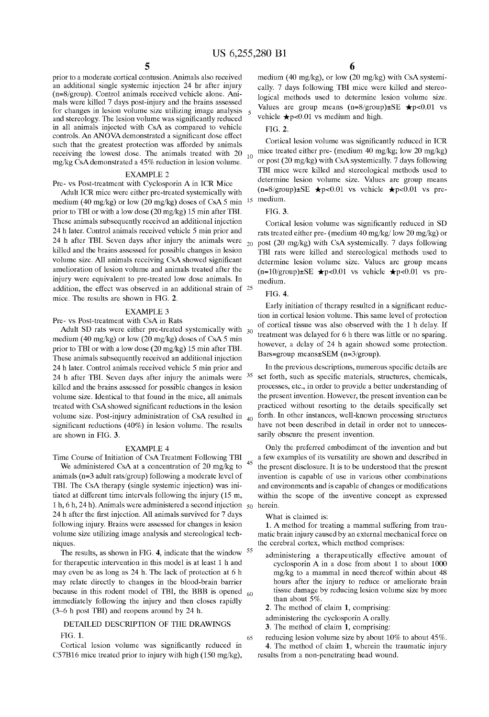10

prior to a moderate cortical contusion. Animals also received an additional single systemic injection 24 hr after injury (n=8/group). Control animals received vehicle alone. Ani mals Were killed 7 days post-injury and the brains assessed for changes in lesion volume size utilizing image analysis and stereology. The lesion volume was significantly reduced in all animals injected With CsA as compared to vehicle controls. An ANOVA demonstrated a significant dose effect such that the greatest protection Was afforded by animals receiving the lowest dose. The animals treated with 20 mg/kg CsA demonstrated a 45% reduction in lesion volume.

#### EXAMPLE 2

Pre- vs Post-treatment With Cyclosporin A in ICR Mice

Adult ICR mice Were either pre-treated systemically With medium (40 mg/kg) or low (20 mg/kg) doses of CsA 5 min  $15$  medium. prior to TBI or With a loW dose (20 mg/kg) 15 min after TBI. These animals subsequently received an additional injection 24 h later. Control animals received vehicle 5 min prior and 24 h after TBI. Seven days after injury the animals Were killed and the brains assessed for possible changes in lesion volume size. All animals receiving CsA showed significant amelioration of lesion volume and animals treated after the injury Were equivalent to pre-treated loW dose animals. In addition, the effect Was observed in an additional strain of 25 mice. The results are shoWn in FIG. 2.

## EXAMPLE 3

Pre- vs Post-treatment With CsA in Rats

Adult SD rats were either pre-treated systemically with  $_{30}$ medium (40 mg/kg) or loW (20 mg/kg) doses of CsA 5 min prior to TBI or With a loW dose (20 mg/kg) 15 min after TBI. These animals subsequently received an additional injection 24 h later. Control animals received vehicle 5 min prior and 24 h after TBI. Seven days after injury the animals Were killed and the brains assessed for possible changes in lesion volume size. Identical to that found in the mice, all animals treated with CsA showed significant reductions in the lesion volume size. Post-injury administration of CsA resulted in significant reductions  $(40%)$  in lesion volume. The results are shoWn in FIG. 3.  $40$ 

#### EXAMPLE 4

Time Course of Initiation of CsA Treatment Following TBI We administered CsA at a concentration of 20 mg/kg to animals (n=3 adult rats/group) folloWing a moderate level of TBI. The CsA therapy (single systemic injection) Was ini tiated at different time intervals folloWing the injury (15 m, 1 h, 6 h, 24 h). Animals were administered a second injection  $\sigma_{50}$  herein. 24 h after the first injection. All animals survived for 7 days folloWing injury. Brains Were assessed for changes in lesion volume size utilizing image analysis and stereological techniques.

The results, as shown in FIG. 4, indicate that the window for therapeutic intervention in this model is at least 1 h and may even be as long as 24 h. The lack of protection at 6 h may relate directly to changes in the blood-brain barrier because in this rodent model of TBI, the BBB is opened immediately folloWing the injury and then closes rapidly (3—6 h post TBI) and reopens around by 24 h. 55

### DETAILED DESCRIPTION OF THE DRAWINGS FIG. 1.

Cortical lesion volume was significantly reduced in C57B16 mice treated prior to injury With high (150 mg/kg),

medium (40 mg/kg), or loW (20 mg/kg) With CsA systemi cally. 7 days folloWing TBI mice Were killed and stereo logical methods used to determine lesion volume size. Values are group means  $(n=8/\text{group})\pm\text{SE}$   $\star$  p<0.01 vs vehicle  $\bigstar_{p<0.01}$  vs medium and high.

#### FIG. 2.

Cortical lesion volume was significantly reduced in ICR mice treated either pre- (medium 40 mg/kg; loW 20 mg/kg) or post (20 mg/kg) With CsA systemically. 7 days folloWing TBI mice Were killed and stereological methods used to determine lesion volume size. Values are group means  $(n=8/\text{group})\pm\text{SE}$   $\star$  p<0.01 vs vehicle  $\star$  p<0.01 vs pre-

#### FIG. 3.

20 post (20 mg/kg) With CsA systemically. 7 days folloWing Cortical lesion volume was significantly reduced in SD rats treated either pre- (medium 40 mg/kg/ loW 20 mg/kg) or TBI rats Were killed and stereological methods used to determine lesion volume size. Values are group means  $(n=10/\text{group})\pm\text{SE}$   $\bigstar p<0.01$  vs vehicle  $\bigstar p<0.01$  vs premedium.

#### FIG. 4.

Early initiation of therapy resulted in a significant reduction in cortical lesion volume. This same level of protection of cortical tissue Was also observed With the 1 h delay. If treatment Was delayed for 6 h there Was little or no sparing. however, a delay of 24 h again showed some protection. Bars=group means $\pm$ SEM (n=3/group).

<sup>35</sup> set forth, such as specific materials, structures, chemicals, In the previous descriptions, numerous specific details are processes, etc., in order to provide a better understanding of the present invention. HoWever, the present invention can be practiced without resorting to the details specifically set forth. In other instances, well-known processing structures have not been described in detail in order not to unneces sarily obscure the present invention.

Only the preferred embodiment of the invention and but a few examples of its versatility are shown and described in the present disclosure. It is to be understood that the present invention is capable of use in various other combinations and environments and is capable of changes or modifications within the scope of the inventive concept as expressed

#### What is claimed is:

60

65

1. A method for treating a mammal suffering from trau matic brain injury caused by an external mechanical force on the cerebral corteX, Which method comprises:

- administering a therapeutically effective amount of cyclosporin A in a dose from about 1 to about 1000 mg/kg to a mammal in need thereof Within about 48 hours after the injury to reduce or ameliorate brain tissue damage by reducing lesion volume size by more than about 5%.
- 2. The method of claim 1, comprising:
- administering the cyclosporin A orally.
- 3. The method of claim 1, comprising:
- reducing lesion volume size by about 10% to about 45%. 4. The method of claim 1, Wherein the traumatic injury results from a non-penetrating head Wound.